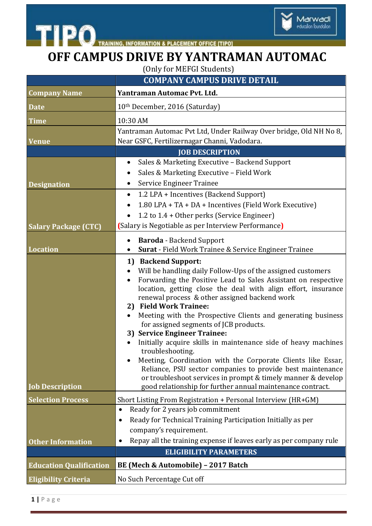



## **OFF CAMPUS DRIVE BY YANTRAMAN AUTOMAC**

(Only for MEFGI Students)

|                                | <b>COMPANY CAMPUS DRIVE DETAIL</b>                                                                                                                                                                                                                                                                                                                                                                                                                                                                                                                                                                                                                                                                                                                                                                       |
|--------------------------------|----------------------------------------------------------------------------------------------------------------------------------------------------------------------------------------------------------------------------------------------------------------------------------------------------------------------------------------------------------------------------------------------------------------------------------------------------------------------------------------------------------------------------------------------------------------------------------------------------------------------------------------------------------------------------------------------------------------------------------------------------------------------------------------------------------|
| <b>Company Name</b>            | Yantraman Automac Pvt. Ltd.                                                                                                                                                                                                                                                                                                                                                                                                                                                                                                                                                                                                                                                                                                                                                                              |
| <b>Date</b>                    | 10th December, 2016 (Saturday)                                                                                                                                                                                                                                                                                                                                                                                                                                                                                                                                                                                                                                                                                                                                                                           |
| Time                           | 10:30 AM                                                                                                                                                                                                                                                                                                                                                                                                                                                                                                                                                                                                                                                                                                                                                                                                 |
| <b>Venue</b>                   | Yantraman Automac Pvt Ltd, Under Railway Over bridge, Old NH No 8,<br>Near GSFC, Fertilizernagar Channi, Vadodara.                                                                                                                                                                                                                                                                                                                                                                                                                                                                                                                                                                                                                                                                                       |
|                                | <b>JOB DESCRIPTION</b>                                                                                                                                                                                                                                                                                                                                                                                                                                                                                                                                                                                                                                                                                                                                                                                   |
|                                | Sales & Marketing Executive - Backend Support<br>$\bullet$                                                                                                                                                                                                                                                                                                                                                                                                                                                                                                                                                                                                                                                                                                                                               |
|                                | Sales & Marketing Executive - Field Work<br>$\bullet$                                                                                                                                                                                                                                                                                                                                                                                                                                                                                                                                                                                                                                                                                                                                                    |
| <b>Designation</b>             | <b>Service Engineer Trainee</b><br>$\bullet$                                                                                                                                                                                                                                                                                                                                                                                                                                                                                                                                                                                                                                                                                                                                                             |
|                                | 1.2 LPA + Incentives (Backend Support)<br>$\bullet$                                                                                                                                                                                                                                                                                                                                                                                                                                                                                                                                                                                                                                                                                                                                                      |
|                                | 1.80 LPA + TA + DA + Incentives (Field Work Executive)<br>$\bullet$                                                                                                                                                                                                                                                                                                                                                                                                                                                                                                                                                                                                                                                                                                                                      |
|                                | 1.2 to 1.4 + Other perks (Service Engineer)                                                                                                                                                                                                                                                                                                                                                                                                                                                                                                                                                                                                                                                                                                                                                              |
| <b>Salary Package (CTC)</b>    | (Salary is Negotiable as per Interview Performance)                                                                                                                                                                                                                                                                                                                                                                                                                                                                                                                                                                                                                                                                                                                                                      |
|                                | <b>Baroda</b> - Backend Support<br>$\bullet$                                                                                                                                                                                                                                                                                                                                                                                                                                                                                                                                                                                                                                                                                                                                                             |
| <b>Location</b>                | Surat - Field Work Trainee & Service Engineer Trainee                                                                                                                                                                                                                                                                                                                                                                                                                                                                                                                                                                                                                                                                                                                                                    |
| <b>Job Description</b>         | 1) Backend Support:<br>Will be handling daily Follow-Ups of the assigned customers<br>Forwarding the Positive Lead to Sales Assistant on respective<br>location, getting close the deal with align effort, insurance<br>renewal process & other assigned backend work<br>2) Field Work Trainee:<br>Meeting with the Prospective Clients and generating business<br>$\bullet$<br>for assigned segments of JCB products.<br>3) Service Engineer Trainee:<br>Initially acquire skills in maintenance side of heavy machines<br>troubleshooting.<br>Meeting, Coordination with the Corporate Clients like Essar,<br>Reliance, PSU sector companies to provide best maintenance<br>or troubleshoot services in prompt & timely manner & develop<br>good relationship for further annual maintenance contract. |
| <b>Selection Process</b>       | Short Listing From Registration + Personal Interview (HR+GM)                                                                                                                                                                                                                                                                                                                                                                                                                                                                                                                                                                                                                                                                                                                                             |
| <b>Other Information</b>       | Ready for 2 years job commitment<br>$\bullet$<br>Ready for Technical Training Participation Initially as per<br>$\bullet$<br>company's requirement.<br>Repay all the training expense if leaves early as per company rule<br><b>ELIGIBILITY PARAMETERS</b>                                                                                                                                                                                                                                                                                                                                                                                                                                                                                                                                               |
| <b>Education Qualification</b> | BE (Mech & Automobile) - 2017 Batch                                                                                                                                                                                                                                                                                                                                                                                                                                                                                                                                                                                                                                                                                                                                                                      |
|                                |                                                                                                                                                                                                                                                                                                                                                                                                                                                                                                                                                                                                                                                                                                                                                                                                          |
| <b>Eligibility Criteria</b>    | No Such Percentage Cut off                                                                                                                                                                                                                                                                                                                                                                                                                                                                                                                                                                                                                                                                                                                                                                               |